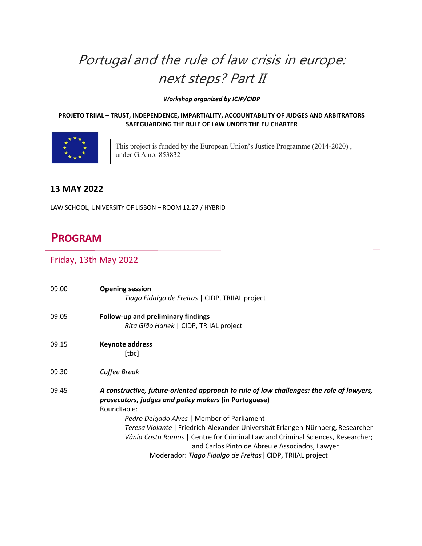# Portugal and the rule of law crisis in europe: next steps? Part II

*Workshop organized by ICJP/CIDP* 

#### **PROJETO TRIIAL – TRUST, INDEPENDENCE, IMPARTIALITY, ACCOUNTABILITY OF JUDGES AND ARBITRATORS SAFEGUARDING THE RULE OF LAW UNDER THE EU CHARTER**



This project is funded by the European Union's Justice Programme (2014-2020) , under G.A no. 853832

## **13 MAY 2022**

LAW SCHOOL, UNIVERSITY OF LISBON – ROOM 12.27 / HYBRID

# **PROGRAM**

### Friday, 13th May 2022

| 09.00 | <b>Opening session</b><br>Tiago Fidalgo de Freitas   CIDP, TRIIAL project                                                                                                                                                                                                                                                                                                                                                             |
|-------|---------------------------------------------------------------------------------------------------------------------------------------------------------------------------------------------------------------------------------------------------------------------------------------------------------------------------------------------------------------------------------------------------------------------------------------|
| 09.05 | Follow-up and preliminary findings<br>Rita Gião Hanek   CIDP, TRIIAL project                                                                                                                                                                                                                                                                                                                                                          |
| 09.15 | <b>Keynote address</b><br>[tbc]                                                                                                                                                                                                                                                                                                                                                                                                       |
| 09.30 | Coffee Break                                                                                                                                                                                                                                                                                                                                                                                                                          |
| 09.45 | A constructive, future-oriented approach to rule of law challenges: the role of lawyers,<br>prosecutors, judges and policy makers (in Portuguese)<br>Roundtable:<br>Pedro Delgado Alves   Member of Parliament<br>Teresa Violante   Friedrich-Alexander-Universität Erlangen-Nürnberg, Researcher<br>Vânia Costa Ramos   Centre for Criminal Law and Criminal Sciences, Researcher;<br>and Carlos Pinto de Abreu e Associados, Lawyer |
|       | Moderador: Tiago Fidalgo de Freitas   CIDP, TRIIAL project                                                                                                                                                                                                                                                                                                                                                                            |